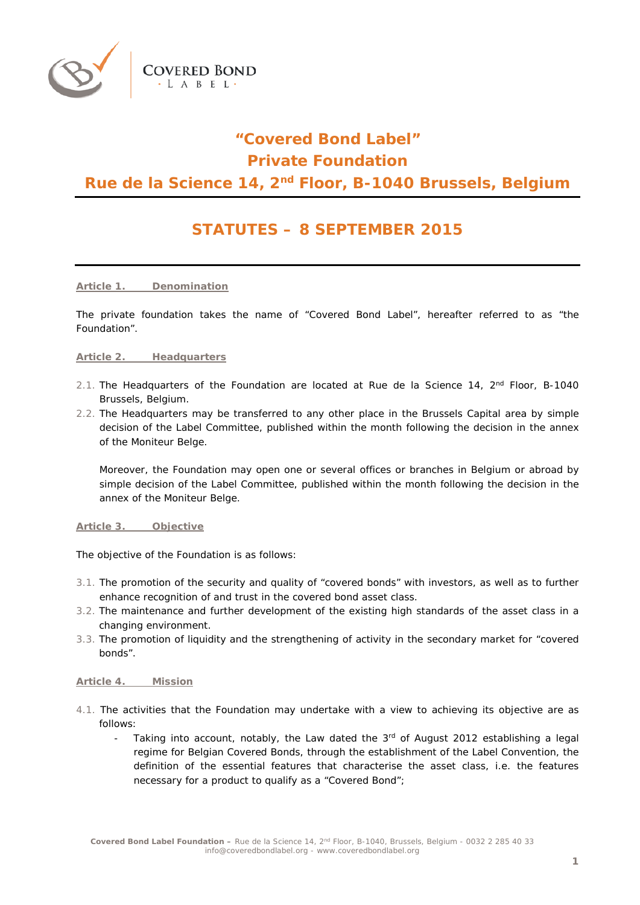

# **"Covered Bond Label" Private Foundation**

# **Rue de la Science 14, 2nd Floor, B-1040 Brussels, Belgium**

# **STATUTES – 8 SEPTEMBER 2015**

**Article 1. Denomination**

**COVERED BOND** L A B E L

The private foundation takes the name of "Covered Bond Label", hereafter referred to as "the Foundation".

#### **Article 2. Headquarters**

- 2.1. The Headquarters of the Foundation are located at Rue de la Science 14,  $2<sup>nd</sup>$  Floor, B-1040 Brussels, Belgium.
- 2.2. The Headquarters may be transferred to any other place in the Brussels Capital area by simple decision of the Label Committee, published within the month following the decision in the annex of the Moniteur Belge.

Moreover, the Foundation may open one or several offices or branches in Belgium or abroad by simple decision of the Label Committee, published within the month following the decision in the annex of the Moniteur Belge.

**Article 3. Objective**

The objective of the Foundation is as follows:

- 3.1. The promotion of the security and quality of "covered bonds" with investors, as well as to further enhance recognition of and trust in the covered bond asset class.
- 3.2. The maintenance and further development of the existing high standards of the asset class in a changing environment.
- 3.3. The promotion of liquidity and the strengthening of activity in the secondary market for "covered bonds".

### **Article 4. Mission**

- 4.1. The activities that the Foundation may undertake with a view to achieving its objective are as follows:
	- Taking into account, notably, the Law dated the  $3<sup>rd</sup>$  of August 2012 establishing a legal regime for Belgian Covered Bonds, through the establishment of the Label Convention, the definition of the essential features that characterise the asset class, i.e. the features necessary for a product to qualify as a "Covered Bond";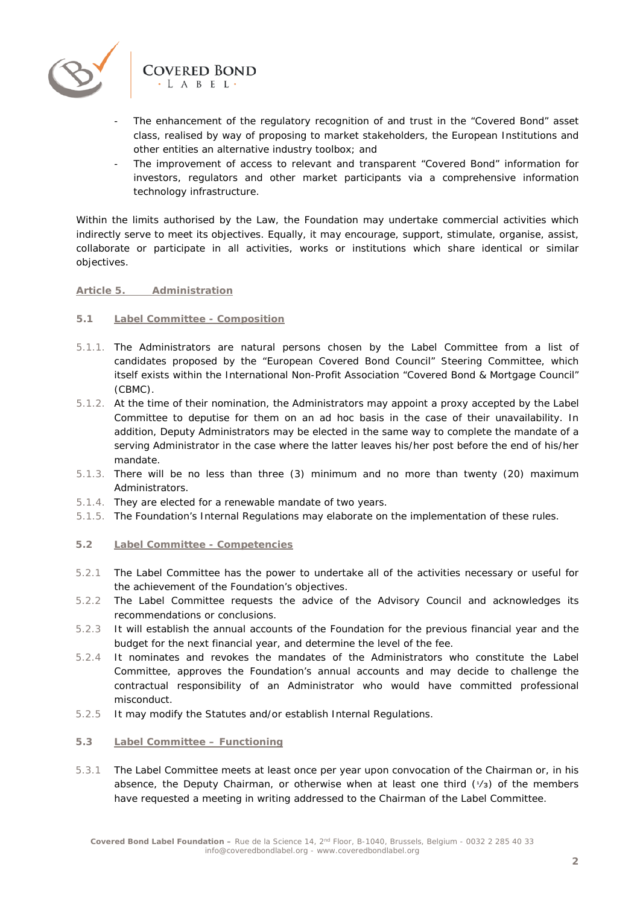

- The enhancement of the regulatory recognition of and trust in the "Covered Bond" asset class, realised by way of proposing to market stakeholders, the European Institutions and other entities an alternative industry toolbox; and
- The improvement of access to relevant and transparent "Covered Bond" information for investors, regulators and other market participants via a comprehensive information technology infrastructure.

Within the limits authorised by the Law, the Foundation may undertake commercial activities which indirectly serve to meet its objectives. Equally, it may encourage, support, stimulate, organise, assist, collaborate or participate in all activities, works or institutions which share identical or similar objectives.

# **Article 5. Administration**

# **5.1 Label Committee - Composition**

- 5.1.1. The Administrators are natural persons chosen by the Label Committee from a list of candidates proposed by the "European Covered Bond Council" Steering Committee, which itself exists within the International Non-Profit Association "Covered Bond & Mortgage Council" (CBMC).
- 5.1.2. At the time of their nomination, the Administrators may appoint a proxy accepted by the Label Committee to deputise for them on an ad hoc basis in the case of their unavailability. In addition, Deputy Administrators may be elected in the same way to complete the mandate of a serving Administrator in the case where the latter leaves his/her post before the end of his/her mandate.
- 5.1.3. There will be no less than three (3) minimum and no more than twenty (20) maximum Administrators.
- 5.1.4. They are elected for a renewable mandate of two years.
- 5.1.5. The Foundation's Internal Regulations may elaborate on the implementation of these rules.

# **5.2 Label Committee - Competencies**

- 5.2.1 The Label Committee has the power to undertake all of the activities necessary or useful for the achievement of the Foundation's objectives.
- 5.2.2 The Label Committee requests the advice of the Advisory Council and acknowledges its recommendations or conclusions.
- 5.2.3 It will establish the annual accounts of the Foundation for the previous financial year and the budget for the next financial year, and determine the level of the fee.
- 5.2.4 It nominates and revokes the mandates of the Administrators who constitute the Label Committee, approves the Foundation's annual accounts and may decide to challenge the contractual responsibility of an Administrator who would have committed professional misconduct.
- 5.2.5 It may modify the Statutes and/or establish Internal Regulations.

### **5.3 Label Committee – Functioning**

5.3.1 The Label Committee meets at least once per year upon convocation of the Chairman or, in his absence, the Deputy Chairman, or otherwise when at least one third  $(1/3)$  of the members have requested a meeting in writing addressed to the Chairman of the Label Committee.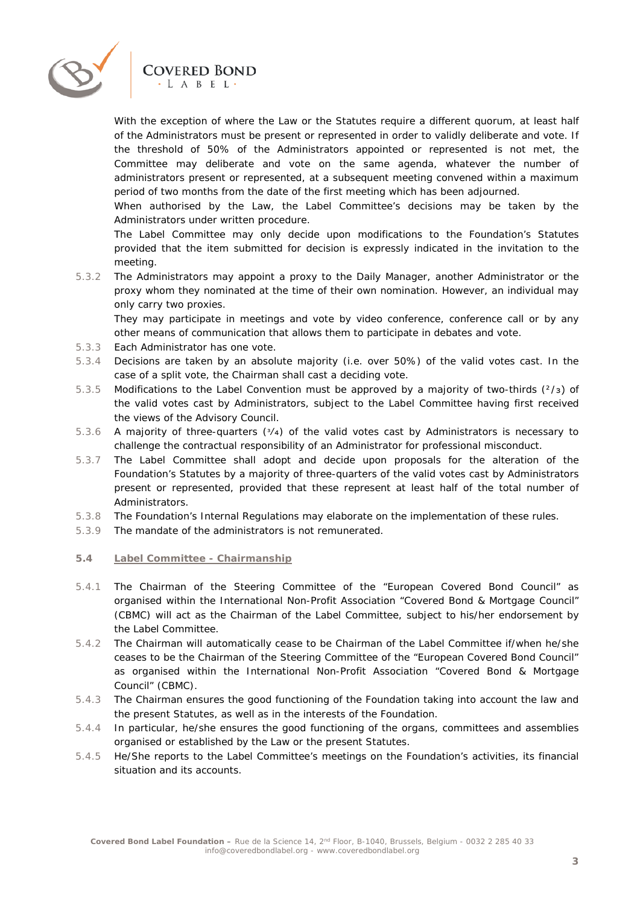

# **COVERED BOND**  $-L A B E L$

With the exception of where the Law or the Statutes require a different quorum, at least half of the Administrators must be present or represented in order to validly deliberate and vote. If the threshold of 50% of the Administrators appointed or represented is not met, the Committee may deliberate and vote on the same agenda, whatever the number of administrators present or represented, at a subsequent meeting convened within a maximum period of two months from the date of the first meeting which has been adjourned.

When authorised by the Law, the Label Committee's decisions may be taken by the Administrators under written procedure.

The Label Committee may only decide upon modifications to the Foundation's Statutes provided that the item submitted for decision is expressly indicated in the invitation to the meeting.

5.3.2 The Administrators may appoint a proxy to the Daily Manager, another Administrator or the proxy whom they nominated at the time of their own nomination. However, an individual may only carry two proxies.

They may participate in meetings and vote by video conference, conference call or by any other means of communication that allows them to participate in debates and vote.

- 5.3.3 Each Administrator has one vote.
- 5.3.4 Decisions are taken by an absolute majority (i.e. over 50%) of the valid votes cast. In the case of a split vote, the Chairman shall cast a deciding vote.
- 5.3.5 Modifications to the Label Convention must be approved by a majority of two-thirds ( $\frac{2}{3}$ ) of the valid votes cast by Administrators, subject to the Label Committee having first received the views of the Advisory Council.
- 5.3.6 A majority of three-quarters ( $\frac{3}{4}$ ) of the valid votes cast by Administrators is necessary to challenge the contractual responsibility of an Administrator for professional misconduct.
- 5.3.7 The Label Committee shall adopt and decide upon proposals for the alteration of the Foundation's Statutes by a majority of three-quarters of the valid votes cast by Administrators present or represented, provided that these represent at least half of the total number of Administrators.
- 5.3.8 The Foundation's Internal Regulations may elaborate on the implementation of these rules.
- 5.3.9 The mandate of the administrators is not remunerated.

### **5.4 Label Committee - Chairmanship**

- 5.4.1 The Chairman of the Steering Committee of the "European Covered Bond Council" as organised within the International Non-Profit Association "Covered Bond & Mortgage Council" (CBMC) will act as the Chairman of the Label Committee, subject to his/her endorsement by the Label Committee.
- 5.4.2 The Chairman will automatically cease to be Chairman of the Label Committee if/when he/she ceases to be the Chairman of the Steering Committee of the "European Covered Bond Council" as organised within the International Non-Profit Association "Covered Bond & Mortgage Council" (CBMC).
- 5.4.3 The Chairman ensures the good functioning of the Foundation taking into account the law and the present Statutes, as well as in the interests of the Foundation.
- 5.4.4 In particular, he/she ensures the good functioning of the organs, committees and assemblies organised or established by the Law or the present Statutes.
- 5.4.5 He/She reports to the Label Committee's meetings on the Foundation's activities, its financial situation and its accounts.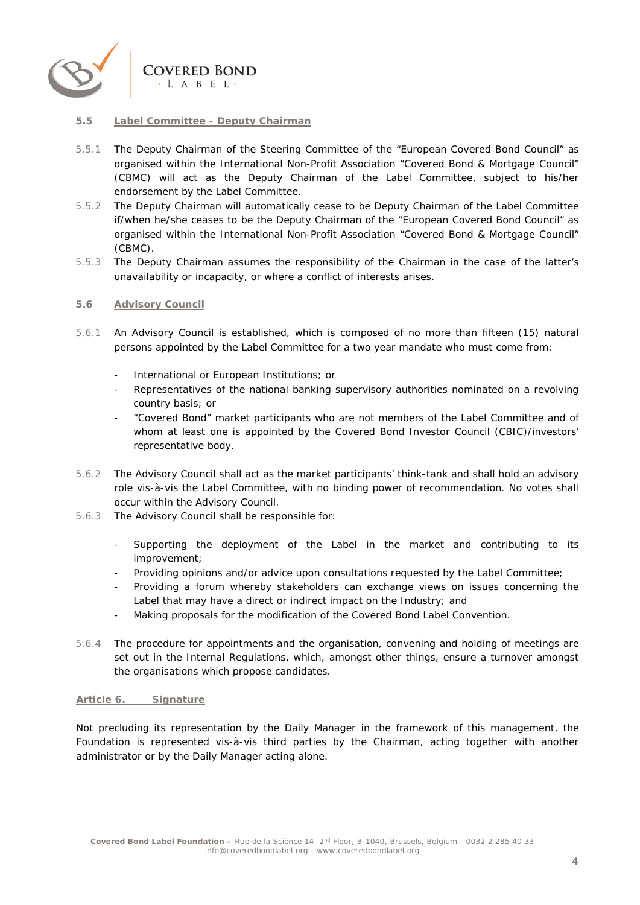

### **5.5 Label Committee - Deputy Chairman**

- 5.5.1 The Deputy Chairman of the Steering Committee of the "European Covered Bond Council" as organised within the International Non-Profit Association "Covered Bond & Mortgage Council" (CBMC) will act as the Deputy Chairman of the Label Committee, subject to his/her endorsement by the Label Committee.
- 5.5.2 The Deputy Chairman will automatically cease to be Deputy Chairman of the Label Committee if/when he/she ceases to be the Deputy Chairman of the "European Covered Bond Council" as organised within the International Non-Profit Association "Covered Bond & Mortgage Council" (CBMC).
- 5.5.3 The Deputy Chairman assumes the responsibility of the Chairman in the case of the latter's unavailability or incapacity, or where a conflict of interests arises.

# **5.6 Advisory Council**

- 5.6.1 An Advisory Council is established, which is composed of no more than fifteen (15) natural persons appointed by the Label Committee for a two year mandate who must come from:
	- International or European Institutions; or
	- Representatives of the national banking supervisory authorities nominated on a revolving country basis; or
	- "Covered Bond" market participants who are not members of the Label Committee and of whom at least one is appointed by the Covered Bond Investor Council (CBIC)/investors' representative body.
- 5.6.2 The Advisory Council shall act as the market participants' think-tank and shall hold an advisory role vis-à-vis the Label Committee, with no binding power of recommendation. No votes shall occur within the Advisory Council.
- 5.6.3 The Advisory Council shall be responsible for:
	- Supporting the deployment of the Label in the market and contributing to its improvement;
	- Providing opinions and/or advice upon consultations requested by the Label Committee;
	- Providing a forum whereby stakeholders can exchange views on issues concerning the Label that may have a direct or indirect impact on the Industry; and
	- Making proposals for the modification of the Covered Bond Label Convention.
- 5.6.4 The procedure for appointments and the organisation, convening and holding of meetings are set out in the Internal Regulations, which, amongst other things, ensure a turnover amongst the organisations which propose candidates.

### **Article 6. Signature**

Not precluding its representation by the Daily Manager in the framework of this management, the Foundation is represented vis-à-vis third parties by the Chairman, acting together with another administrator or by the Daily Manager acting alone.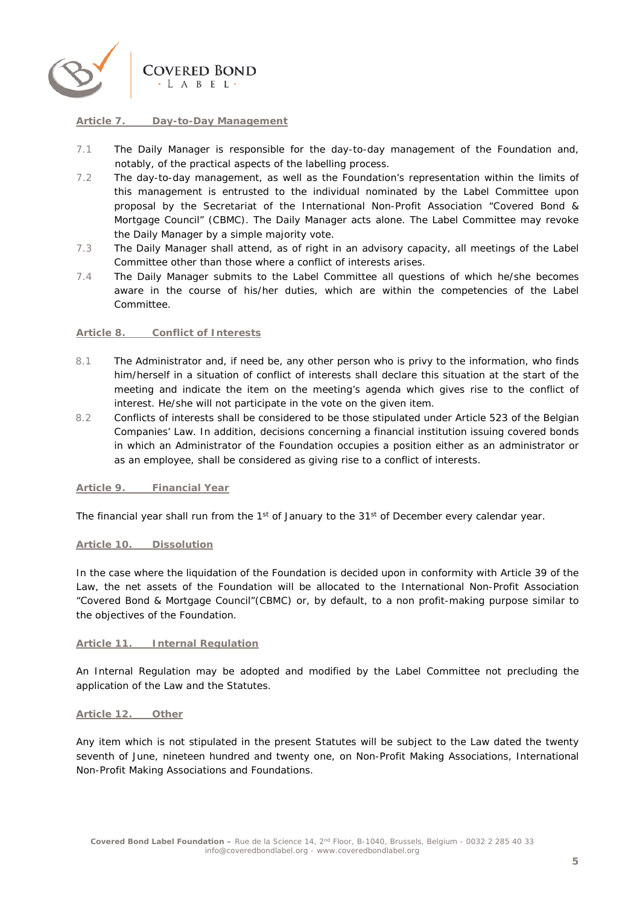

#### **Article 7. Day-to-Day Management**

- 7.1 The Daily Manager is responsible for the day-to-day management of the Foundation and, notably, of the practical aspects of the labelling process.
- 7.2 The day-to-day management, as well as the Foundation's representation within the limits of this management is entrusted to the individual nominated by the Label Committee upon proposal by the Secretariat of the International Non-Profit Association "Covered Bond & Mortgage Council" (CBMC). The Daily Manager acts alone. The Label Committee may revoke the Daily Manager by a simple majority vote.
- 7.3 The Daily Manager shall attend, as of right in an advisory capacity, all meetings of the Label Committee other than those where a conflict of interests arises.
- 7.4 The Daily Manager submits to the Label Committee all questions of which he/she becomes aware in the course of his/her duties, which are within the competencies of the Label Committee.

#### **Article 8. Conflict of Interests**

- 8.1 The Administrator and, if need be, any other person who is privy to the information, who finds him/herself in a situation of conflict of interests shall declare this situation at the start of the meeting and indicate the item on the meeting's agenda which gives rise to the conflict of interest. He/she will not participate in the vote on the given item.
- 8.2 Conflicts of interests shall be considered to be those stipulated under Article 523 of the Belgian Companies' Law. In addition, decisions concerning a financial institution issuing covered bonds in which an Administrator of the Foundation occupies a position either as an administrator or as an employee, shall be considered as giving rise to a conflict of interests.

#### **Article 9. Financial Year**

The financial year shall run from the 1<sup>st</sup> of January to the 31<sup>st</sup> of December every calendar year.

#### **Article 10. Dissolution**

In the case where the liquidation of the Foundation is decided upon in conformity with Article 39 of the Law, the net assets of the Foundation will be allocated to the International Non-Profit Association "Covered Bond & Mortgage Council"(CBMC) or, by default, to a non profit-making purpose similar to the objectives of the Foundation.

#### **Article 11. Internal Regulation**

An Internal Regulation may be adopted and modified by the Label Committee not precluding the application of the Law and the Statutes.

#### **Article 12. Other**

Any item which is not stipulated in the present Statutes will be subject to the Law dated the twenty seventh of June, nineteen hundred and twenty one, on Non-Profit Making Associations, International Non-Profit Making Associations and Foundations.